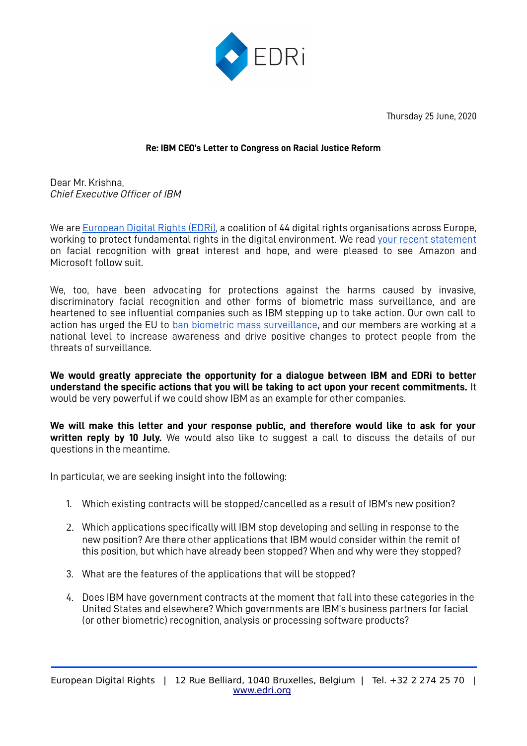

Thursday 25 June, 2020

## **Re: IBM CEO's Letter to Congress on Racial Justice Reform**

Dear Mr. Krishna, *Chief Executive Officer of IBM*

We are European Digital Rights (EDRi), a coalition of 44 digital rights organisations across Europe, working to protect fundamental rights in the digital environment. We read [your recent statement](https://www.ibm.com/blogs/policy/facial-recognition-susset-racial-justice-reforms/) on facial recognition with great interest and hope, and were pleased to see [Amazon](https://blog.aboutamazon.com/policy/we-are-implementing-a-one-year-moratorium-on-police-use-of-rekognition) and [Microsoft](https://www.washingtonpost.com/technology/2020/06/11/microsoft-facial-recognition/) follow suit.

We, too, have been advocating for protections against the harms caused by invasive, discriminatory facial recognition and other forms of biometric mass surveillance, and are heartened to see influential companies such as IBM stepping up to take action. Our own call to action has urged the EU to [ban biometric mass surveillance](https://edri.org/blog-ban-biometric-mass-surveillance/), and our members are working at a national level to increase awareness and drive positive changes to protect people from the threats of surveillance.

**We would greatly appreciate the opportunity for a dialogue between IBM and EDRi to better understand the specific actions that you will be taking to act upon your recent commitments.** It would be very powerful if we could show IBM as an example for other companies.

**We will make this letter and your response public, and therefore would like to ask for your written reply by 10 July.** We would also like to suggest a call to discuss the details of our questions in the meantime.

In particular, we are seeking insight into the following:

- 1. Which existing contracts will be stopped/cancelled as a result of IBM's new position?
- 2. Which applications specifically will IBM stop developing and selling in response to the new position? Are there other applications that IBM would consider within the remit of this position, but which have already been stopped? When and why were they stopped?
- 3. What are the features of the applications that will be stopped?
- 4. Does IBM have government contracts at the moment that fall into these categories in the United States and elsewhere? Which governments are IBM's business partners for facial (or other biometric) recognition, analysis or processing software products?